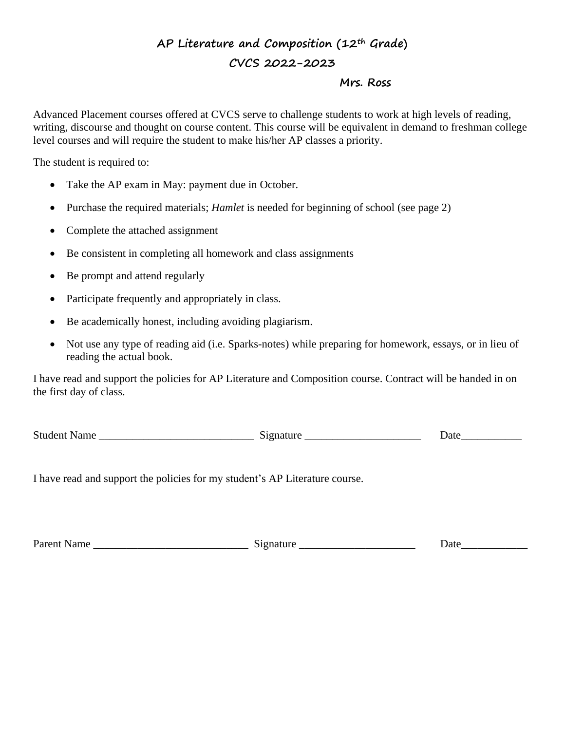# **AP Literature and Composition (12th Grade) CVCS 2022-2023**

#### **Mrs. Ross**

Advanced Placement courses offered at CVCS serve to challenge students to work at high levels of reading, writing, discourse and thought on course content. This course will be equivalent in demand to freshman college level courses and will require the student to make his/her AP classes a priority.

The student is required to:

- Take the AP exam in May: payment due in October.
- Purchase the required materials; *Hamlet* is needed for beginning of school (see page 2)
- Complete the attached assignment
- Be consistent in completing all homework and class assignments
- Be prompt and attend regularly
- Participate frequently and appropriately in class.
- Be academically honest, including avoiding plagiarism.
- Not use any type of reading aid (i.e. Sparks-notes) while preparing for homework, essays, or in lieu of reading the actual book.

I have read and support the policies for AP Literature and Composition course. Contract will be handed in on the first day of class.

| <b>Student Name</b> | Signature |  |
|---------------------|-----------|--|
|                     |           |  |

Date

I have read and support the policies for my student's AP Literature course.

| Parent Name |  |  |
|-------------|--|--|
|             |  |  |

Parent Name \_\_\_\_\_\_\_\_\_\_\_\_\_\_\_\_\_\_\_\_\_\_\_\_\_\_\_\_ Signature \_\_\_\_\_\_\_\_\_\_\_\_\_\_\_\_\_\_\_\_\_ Date\_\_\_\_\_\_\_\_\_\_\_\_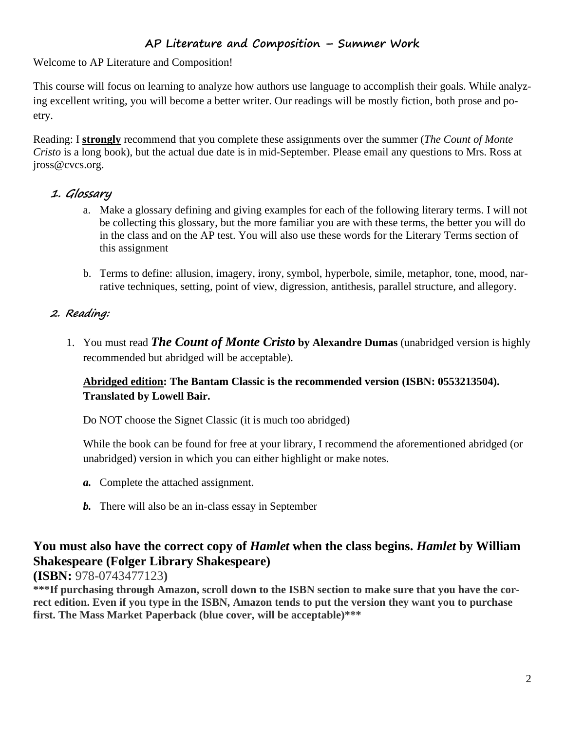## **AP Literature and Composition – Summer Work**

Welcome to AP Literature and Composition!

This course will focus on learning to analyze how authors use language to accomplish their goals. While analyzing excellent writing, you will become a better writer. Our readings will be mostly fiction, both prose and poetry.

Reading: I **strongly** recommend that you complete these assignments over the summer (*The Count of Monte Cristo* is a long book), but the actual due date is in mid-September. Please email any questions to Mrs. Ross at jross@cvcs.org.

### **1. Glossary**

- a. Make a glossary defining and giving examples for each of the following literary terms. I will not be collecting this glossary, but the more familiar you are with these terms, the better you will do in the class and on the AP test. You will also use these words for the Literary Terms section of this assignment
- b. Terms to define: allusion, imagery, irony, symbol, hyperbole, simile, metaphor, tone, mood, narrative techniques, setting, point of view, digression, antithesis, parallel structure, and allegory.

### **2. Reading:**

1. You must read *The Count of Monte Cristo* **by Alexandre Dumas** (unabridged version is highly recommended but abridged will be acceptable).

#### **Abridged edition: The Bantam Classic is the recommended version (ISBN: 0553213504). Translated by Lowell Bair.**

Do NOT choose the Signet Classic (it is much too abridged)

While the book can be found for free at your library, I recommend the aforementioned abridged (or unabridged) version in which you can either highlight or make notes.

- *a.* Complete the attached assignment.
- *b.* There will also be an in-class essay in September

## **You must also have the correct copy of** *Hamlet* **when the class begins.** *Hamlet* **by William Shakespeare (Folger Library Shakespeare)**

**(ISBN:** 978-0743477123**)**

\*\*\*If purchasing through Amazon, scroll down to the ISBN section to make sure that you have the correct edition. Even if you type in the ISBN, Amazon tends to put the version they want you to purchase **first. The Mass Market Paperback (blue cover, will be acceptable)\*\*\***